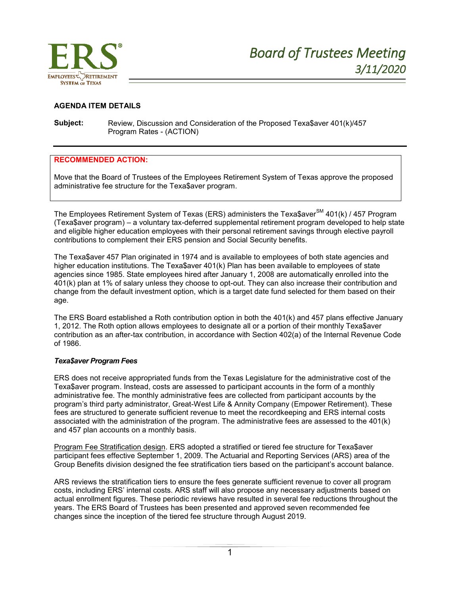

## **AGENDA ITEM DETAILS**

**Subject:** Review, Discussion and Consideration of the Proposed Texa\$aver 401(k)/457 Program Rates - (ACTION)

### **RECOMMENDED ACTION:**

Move that the Board of Trustees of the Employees Retirement System of Texas approve the proposed administrative fee structure for the Texa\$aver program.

The Employees Retirement System of Texas (ERS) administers the Texa\$aver<sup>SM</sup> 401(k) / 457 Program (Texa\$aver program) – a voluntary tax-deferred supplemental retirement program developed to help state and eligible higher education employees with their personal retirement savings through elective payroll contributions to complement their ERS pension and Social Security benefits.

The Texa\$aver 457 Plan originated in 1974 and is available to employees of both state agencies and higher education institutions. The Texa\$aver 401(k) Plan has been available to employees of state agencies since 1985. State employees hired after January 1, 2008 are automatically enrolled into the 401(k) plan at 1% of salary unless they choose to opt-out. They can also increase their contribution and change from the default investment option, which is a target date fund selected for them based on their age.

The ERS Board established a Roth contribution option in both the 401(k) and 457 plans effective January 1, 2012. The Roth option allows employees to designate all or a portion of their monthly Texa\$aver contribution as an after-tax contribution, in accordance with Section 402(a) of the Internal Revenue Code of 1986.

### *Texa\$aver Program Fees*

ERS does not receive appropriated funds from the Texas Legislature for the administrative cost of the Texa\$aver program. Instead, costs are assessed to participant accounts in the form of a monthly administrative fee. The monthly administrative fees are collected from participant accounts by the program's third party administrator, Great-West Life & Annity Company (Empower Retirement). These fees are structured to generate sufficient revenue to meet the recordkeeping and ERS internal costs associated with the administration of the program. The administrative fees are assessed to the 401(k) and 457 plan accounts on a monthly basis.

Program Fee Stratification design. ERS adopted a stratified or tiered fee structure for Texa\$aver participant fees effective September 1, 2009. The Actuarial and Reporting Services (ARS) area of the Group Benefits division designed the fee stratification tiers based on the participant's account balance.

ARS reviews the stratification tiers to ensure the fees generate sufficient revenue to cover all program costs, including ERS' internal costs. ARS staff will also propose any necessary adjustments based on actual enrollment figures. These periodic reviews have resulted in several fee reductions throughout the years. The ERS Board of Trustees has been presented and approved seven recommended fee changes since the inception of the tiered fee structure through August 2019.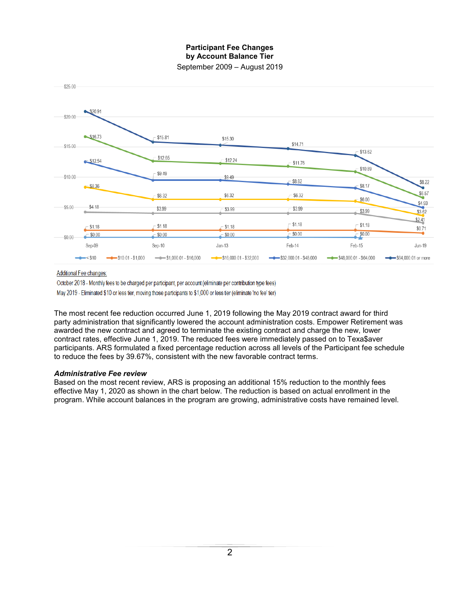# **Participant Fee Changes by Account Balance Tier**

September 2009 – August 2019



Additional Fee changes:

October 2018 - Monthly fees to be charged per participant, per account (eliminate per contribution type fees) May 2019 - Eliminated \$10 or less tier, moving those participants to \$1,000 or less tier (eliminate 'no fee' tier)

The most recent fee reduction occurred June 1, 2019 following the May 2019 contract award for third party administration that significantly lowered the account administration costs. Empower Retirement was awarded the new contract and agreed to terminate the existing contract and charge the new, lower contract rates, effective June 1, 2019. The reduced fees were immediately passed on to Texa\$aver participants. ARS formulated a fixed percentage reduction across all levels of the Participant fee schedule to reduce the fees by 39.67%, consistent with the new favorable contract terms.

### *Administrative Fee review*

Based on the most recent review, ARS is proposing an additional 15% reduction to the monthly fees effective May 1, 2020 as shown in the chart below. The reduction is based on actual enrollment in the program. While account balances in the program are growing, administrative costs have remained level.